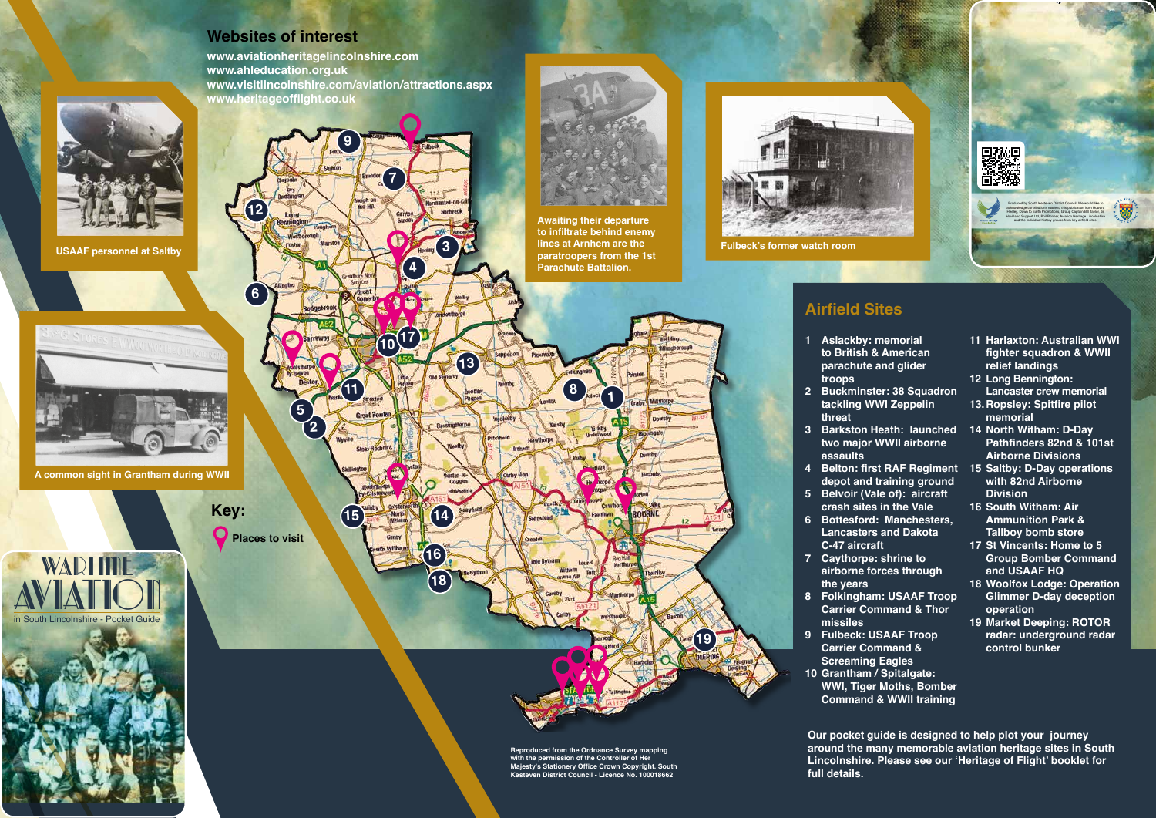**Kesteven District Council - Licence No. 100018662**

- 
- 
- 
- 
- 
- 
- 



**full details.**

- 
- 
- 
- 
- 
- 
- 
- 
- 

**www.heritageofflight.co.uk**



**USAAF personnel at Saltby**



**A common sight in Grantham during WWII**